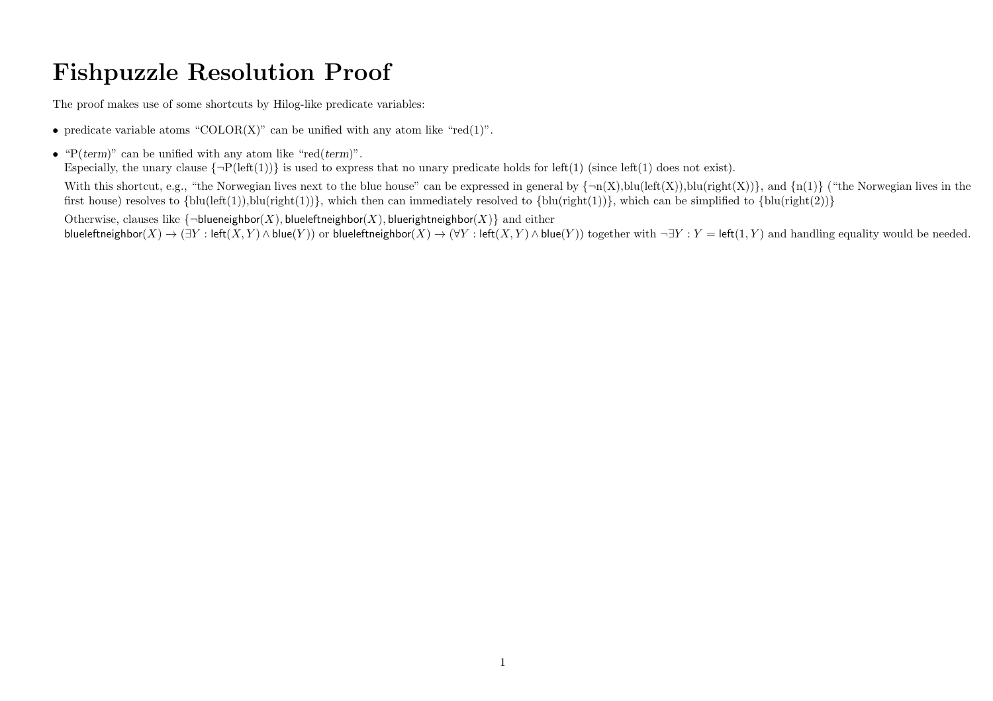## Fishpuzzle Resolution Proof

The proof makes use of some shortcuts by Hilog-like predicate variables:

- predicate variable atoms "COLOR $(X)$ " can be unified with any atom like "red $(1)$ ".
- " $P(\text{term})$ " can be unified with any atom like "red(term)".

Especially, the unary clause  $\{\neg P(\text{left}(1))\}$  is used to express that no unary predicate holds for left(1) (since left(1) does not exist).

With this shortcut, e.g., "the Norwegian lives next to the blue house" can be expressed in general by  $\{\neg n(X),\text{blu}(\text{left}(X)),\text{blu}(\text{right}(X))\}$ , and  $\{n(1)\}$  ("the Norwegian lives in the first house) resolves to  ${\text{blu}(\text{left}(1)), \text{blu}(\text{right}(1))}$ , which then can immediately resolved to  ${\text{blu}(\text{right}(1))}$ , which can be simplified to  ${\text{blu}(\text{right}(2))}$ 

Otherwise, clauses like  $\{\neg$ blueneighbor(X), blueleftneighbor(X), bluerightneighbor(X)} and either blueleftneighbor(X)  $\rightarrow (\exists Y : \text{left}(X, Y) \land \text{blue}(Y))$  or blueleftneighbor(X)  $\rightarrow (\forall Y : \text{left}(X, Y) \land \text{blue}(Y))$  together with  $\neg Y : Y = \text{left}(1, Y)$  and handling equality would be needed.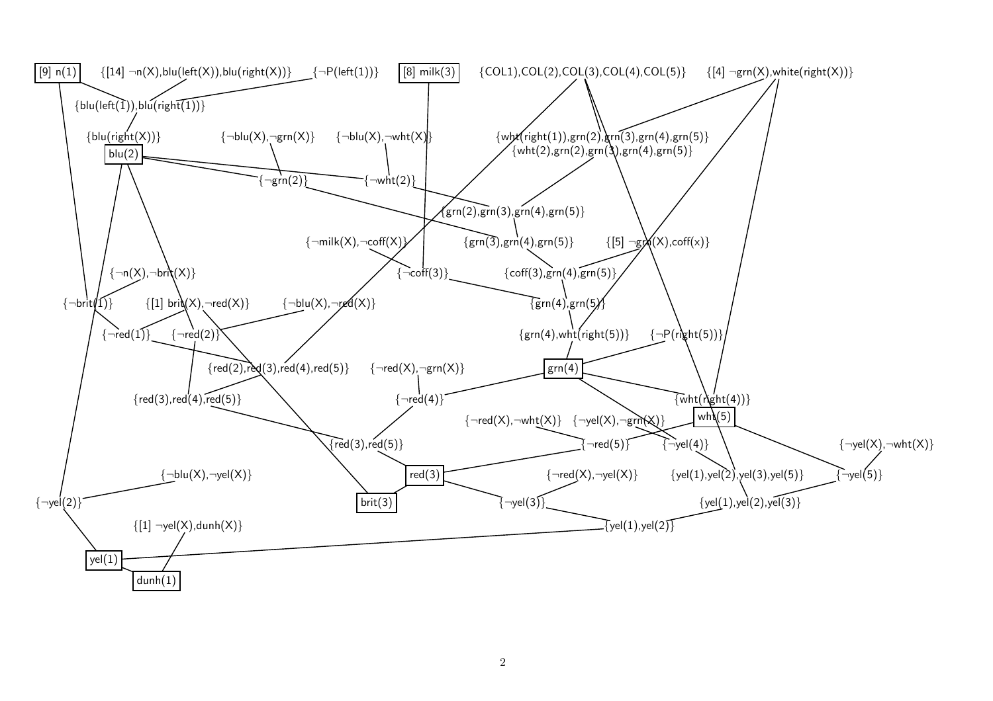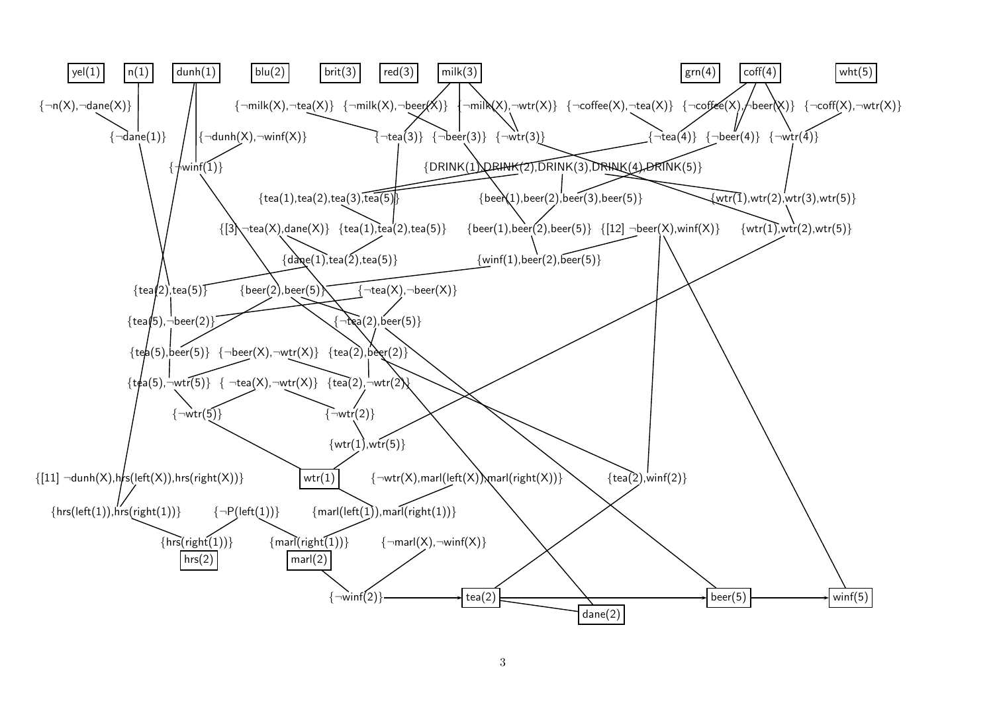